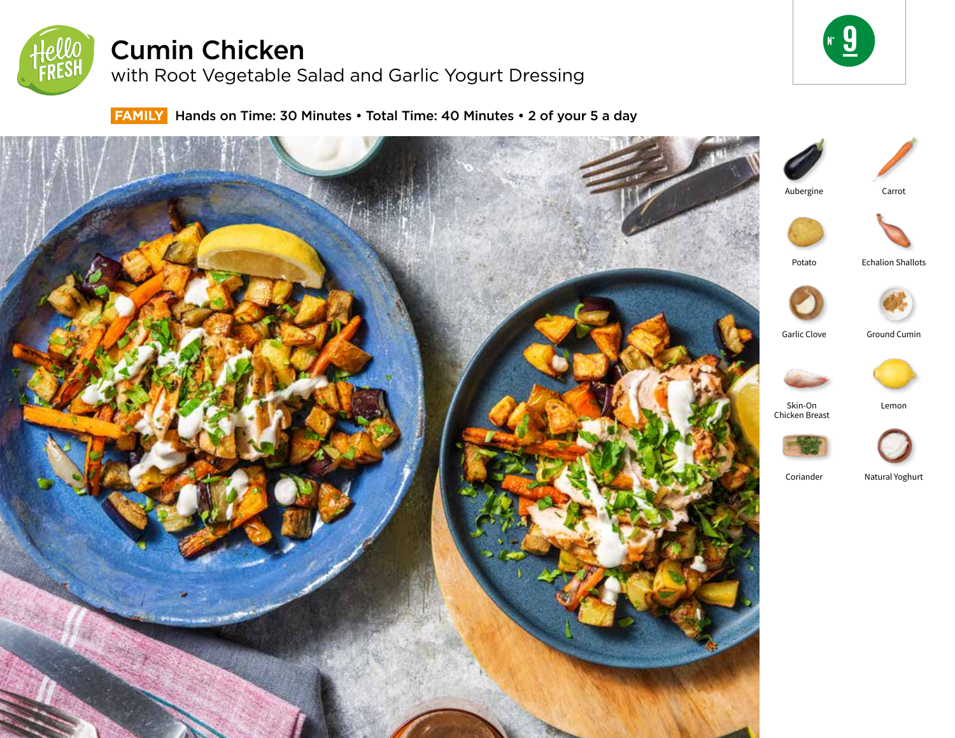

# Cumin Chicken

with Root Vegetable Salad and Garlic Yogurt Dressing



 **FAMILY** Hands on Time: 30 Minutes • Total Time: 40 Minutes • 2 of your 5 a day